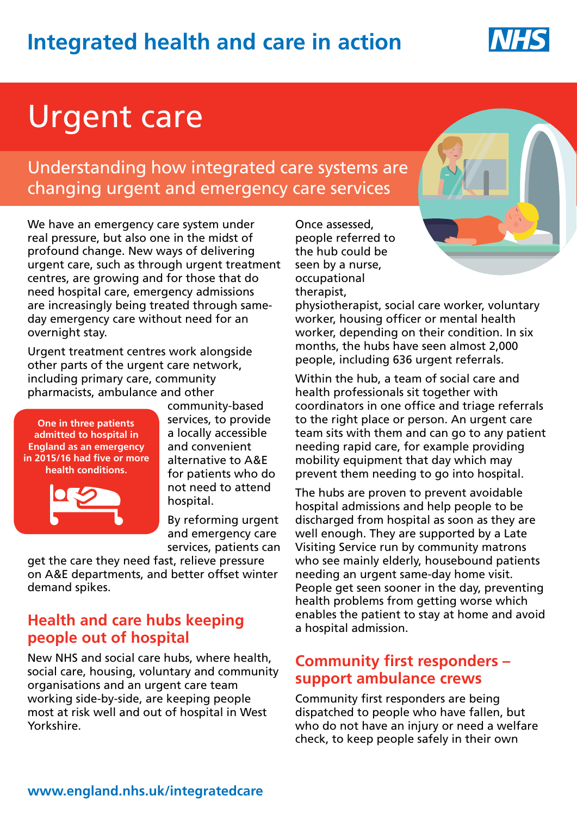## **Integrated health and care in action**

# Urgent care

Understanding how integrated care systems are changing urgent and emergency care services

We have an emergency care system under real pressure, but also one in the midst of profound change. New ways of delivering urgent care, such as through urgent treatment centres, are growing and for those that do need hospital care, emergency admissions are increasingly being treated through sameday emergency care without need for an overnight stay.

Urgent treatment centres work alongside other parts of the urgent care network, including primary care, community pharmacists, ambulance and other





community-based services, to provide a locally accessible and convenient alternative to A&E for patients who do not need to attend hospital.

By reforming urgent and emergency care services, patients can

get the care they need fast, relieve pressure on A&E departments, and better offset winter demand spikes.

### **Health and care hubs keeping people out of hospital**

New NHS and social care hubs, where health, social care, housing, voluntary and community organisations and an urgent care team working side-by-side, are keeping people most at risk well and out of hospital in West Yorkshire.

Once assessed, people referred to the hub could be seen by a nurse, occupational therapist,

physiotherapist, social care worker, voluntary worker, housing officer or mental health worker, depending on their condition. In six months, the hubs have seen almost 2,000 people, including 636 urgent referrals.

Within the hub, a team of social care and health professionals sit together with coordinators in one office and triage referrals to the right place or person. An urgent care team sits with them and can go to any patient needing rapid care, for example providing mobility equipment that day which may prevent them needing to go into hospital.

The hubs are proven to prevent avoidable hospital admissions and help people to be discharged from hospital as soon as they are well enough. They are supported by a Late Visiting Service run by community matrons who see mainly elderly, housebound patients needing an urgent same-day home visit. People get seen sooner in the day, preventing health problems from getting worse which enables the patient to stay at home and avoid a hospital admission.

### **Community first responders – support ambulance crews**

Community first responders are being dispatched to people who have fallen, but who do not have an injury or need a welfare check, to keep people safely in their own